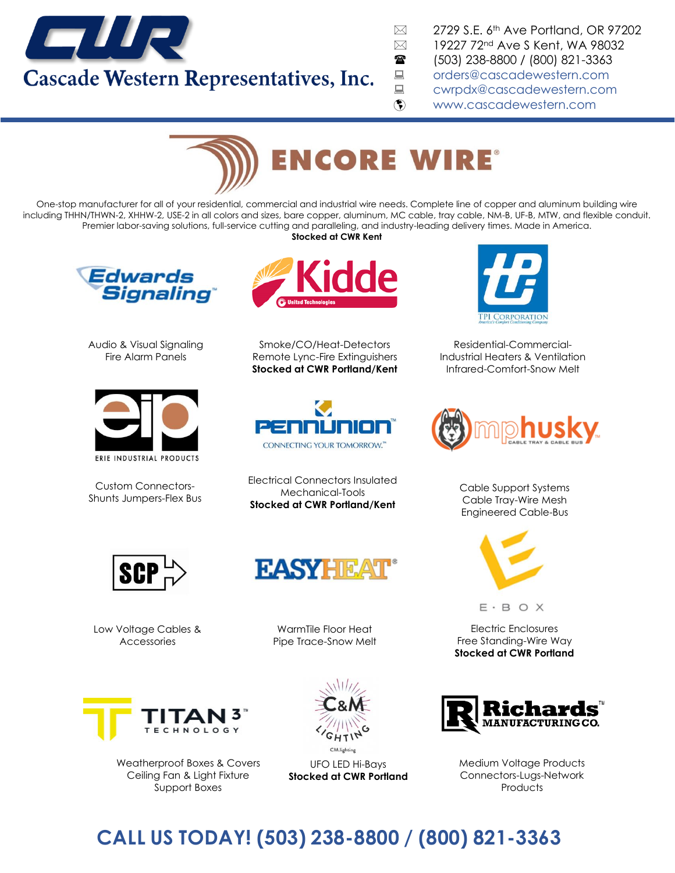

 $\boxtimes$  2729 S.E. 6<sup>th</sup> Ave Portland, OR 97202  $\boxtimes$  19227 72<sup>nd</sup> Ave S Kent, WA 98032 (503) 238-8800 / (800) 821-3363 ■ [orders@cascadewestern.com](mailto:orders@cascadewestern.com) ■ [cwrpdx@cascadewestern.com](mailto:cwrpdx@cascadewestern.com) www.cascadewestern.com



One-stop manufacturer [for all of your residential, commercial and industrial wire needs. Complete line of copper and](https://www.encorewire.com/) aluminum building wire including THHN/THWN-2, XHHW-2, USE-2 in all colors and sizes, bare copper, aluminum, MC cable, tray cable, NM-B, UF-B, MTW, and flexible conduit. Premier labor-saving solutions, full-service cutting and paralleling, and industry-leading delivery times. Made in America. **Stocked at CWR Kent** 



Audio & Visual Signaling Fire Alarm Panels



Custom Connectors-Shunts Jumpers-Flex Bus



Smoke/CO/Heat-Detectors Remote Lync-Fire Extinguishers **[Stocked at CWR Portland/Kent](https://penn-union.com/)**



Electrical Connectors Insulated Mechanical-Tools **Stocked at CWR Portland/Kent**



Low Voltage Cables & Accessories

WarmTile Floor Heat Pipe Trace-Snow Melt

**FASYHEAT** 



Weatherproof Boxes & Covers Ceiling Fan & Light Fixture Support Boxes



UFO LED Hi-Bays **Stocked at CWR Portland** 



Residential-Commercial-Industrial Heaters & Ventilation Infrared-Comfort-Snow Melt



Cable Support Systems Cable Tray-Wire Mesh Engineered Cable-Bus



 $E \cdot B$  O X

Electric Enclosures Free Standing-Wire Way **Stocked at CWR Portland**



Medium Voltage Products Connectors-Lugs-Network **Products** 

## **CALL US TODAY! (503) 238-8800 / (800) 821-3363**